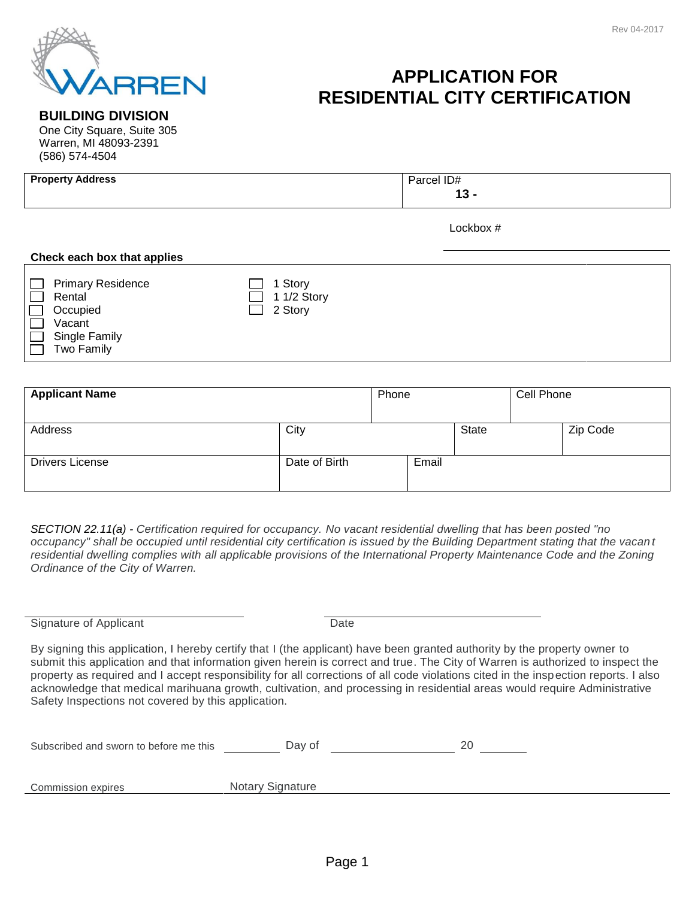

## **APPLICATION FOR RESIDENTIAL CITY CERTIFICATION**

## **BUILDING DIVISION**

One City Square, Suite 305 Warren, MI 48093-2391 (586) 574-4504

| <b>Property Address</b>                                                                            | Parcel ID#<br>$13 -$ |  |
|----------------------------------------------------------------------------------------------------|----------------------|--|
|                                                                                                    |                      |  |
|                                                                                                    | Lockbox #            |  |
| Check each box that applies                                                                        |                      |  |
| Drive and Dealdenas<br>$\overline{A}$ $\overline{C}$ $\overline{A}$ $\overline{C}$<br>$\mathbf{I}$ |                      |  |

| <b>Primary Residence</b> | Story       |
|--------------------------|-------------|
| Rental                   | 1 1/2 Story |
| Occupied                 | 2 Story     |
| Vacant                   |             |
| Single Family            |             |
| Two Family               |             |

| <b>Applicant Name</b>  |               | Phone |       |              | Cell Phone |          |
|------------------------|---------------|-------|-------|--------------|------------|----------|
| Address                | City          |       |       | <b>State</b> |            | Zip Code |
| <b>Drivers License</b> | Date of Birth |       | Email |              |            |          |

*SECTION 22.11(a) - Certification required for occupancy. No vacant residential dwelling that has been posted "no occupancy" shall be occupied until residential city certification is issued by the Building Department stating that the vacan t residential dwelling complies with all applicable provisions of the International Property Maintenance Code and the Zoning Ordinance of the City of Warren.*

Signature of Applicant Date

By signing this application, I hereby certify that I (the applicant) have been granted authority by the property owner to submit this application and that information given herein is correct and true. The City of Warren is authorized to inspect the property as required and I accept responsibility for all corrections of all code violations cited in the inspection reports. I also acknowledge that medical marihuana growth, cultivation, and processing in residential areas would require Administrative Safety Inspections not covered by this application.

| Subscribed and sworn to before me this | Dav of |  |
|----------------------------------------|--------|--|
|----------------------------------------|--------|--|

Commission expires Notary Signature